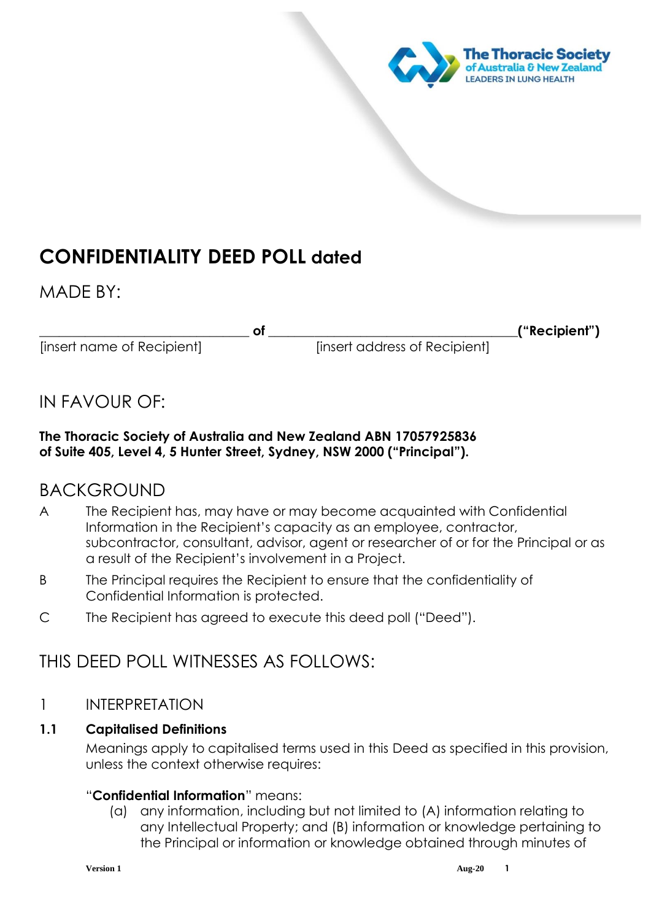

# **CONFIDENTIALITY DEED POLL dated**

MADE BY:

[insert name of Recipient] [insert address of Recipient]

of the contract of the contract of the contract of the contract of the contract of the contract of the contract of the contract of the contract of the contract of the contract of the contract of the contract of the contrac

## IN FAVOUR OF:

## **The Thoracic Society of Australia and New Zealand ABN 17057925836 of Suite 405, Level 4, 5 Hunter Street, Sydney, NSW 2000 ("Principal").**

## BACKGROUND

- A The Recipient has, may have or may become acquainted with Confidential Information in the Recipient's capacity as an employee, contractor, subcontractor, consultant, advisor, agent or researcher of or for the Principal or as a result of the Recipient's involvement in a Project.
- B The Principal requires the Recipient to ensure that the confidentiality of Confidential Information is protected.
- C The Recipient has agreed to execute this deed poll ("Deed").

## THIS DEED POLL WITNESSES AS FOLLOWS:

## 1 INTERPRETATION

## **1.1 Capitalised Definitions**

Meanings apply to capitalised terms used in this Deed as specified in this provision, unless the context otherwise requires:

## "**Confidential Information**" means:

(a) any information, including but not limited to (A) information relating to any Intellectual Property; and (B) information or knowledge pertaining to the Principal or information or knowledge obtained through minutes of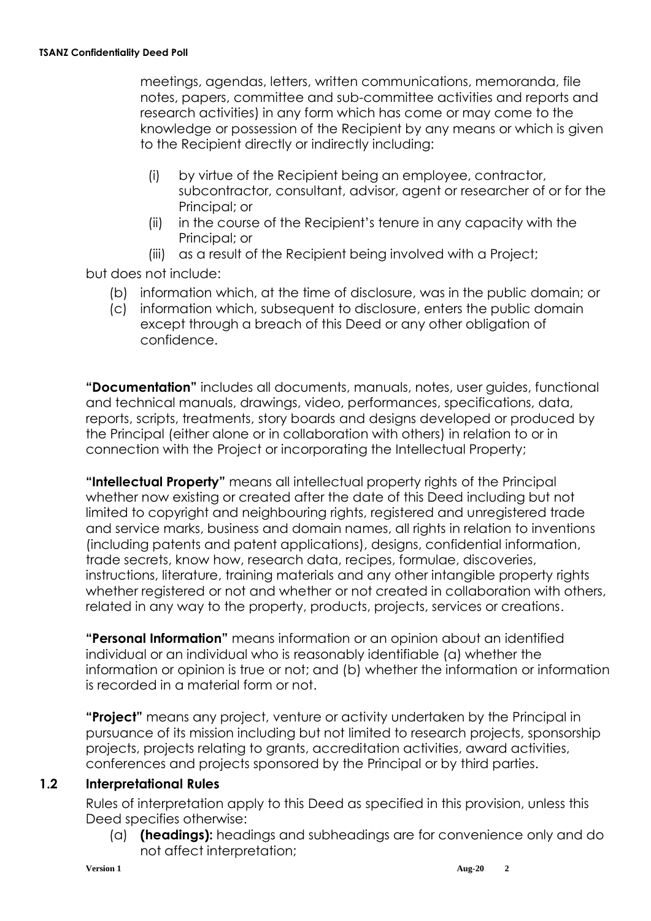meetings, agendas, letters, written communications, memoranda, file notes, papers, committee and sub-committee activities and reports and research activities) in any form which has come or may come to the knowledge or possession of the Recipient by any means or which is given to the Recipient directly or indirectly including:

- (i) by virtue of the Recipient being an employee, contractor, subcontractor, consultant, advisor, agent or researcher of or for the Principal; or
- (ii) in the course of the Recipient's tenure in any capacity with the Principal; or
- (iii) as a result of the Recipient being involved with a Project;

but does not include:

- (b) information which, at the time of disclosure, was in the public domain; or
- (c) information which, subsequent to disclosure, enters the public domain except through a breach of this Deed or any other obligation of confidence.

**"Documentation"** includes all documents, manuals, notes, user guides, functional and technical manuals, drawings, video, performances, specifications, data, reports, scripts, treatments, story boards and designs developed or produced by the Principal (either alone or in collaboration with others) in relation to or in connection with the Project or incorporating the Intellectual Property;

**"Intellectual Property"** means all intellectual property rights of the Principal whether now existing or created after the date of this Deed including but not limited to copyright and neighbouring rights, registered and unregistered trade and service marks, business and domain names, all rights in relation to inventions (including patents and patent applications), designs, confidential information, trade secrets, know how, research data, recipes, formulae, discoveries, instructions, literature, training materials and any other intangible property rights whether registered or not and whether or not created in collaboration with others, related in any way to the property, products, projects, services or creations.

**"Personal Information"** means information or an opinion about an identified individual or an individual who is reasonably identifiable (a) whether the information or opinion is true or not; and (b) whether the information or information is recorded in a material form or not.

**"Project"** means any project, venture or activity undertaken by the Principal in pursuance of its mission including but not limited to research projects, sponsorship projects, projects relating to grants, accreditation activities, award activities, conferences and projects sponsored by the Principal or by third parties.

### **1.2 Interpretational Rules**

Rules of interpretation apply to this Deed as specified in this provision, unless this Deed specifies otherwise:

(a) **(headings):** headings and subheadings are for convenience only and do not affect interpretation;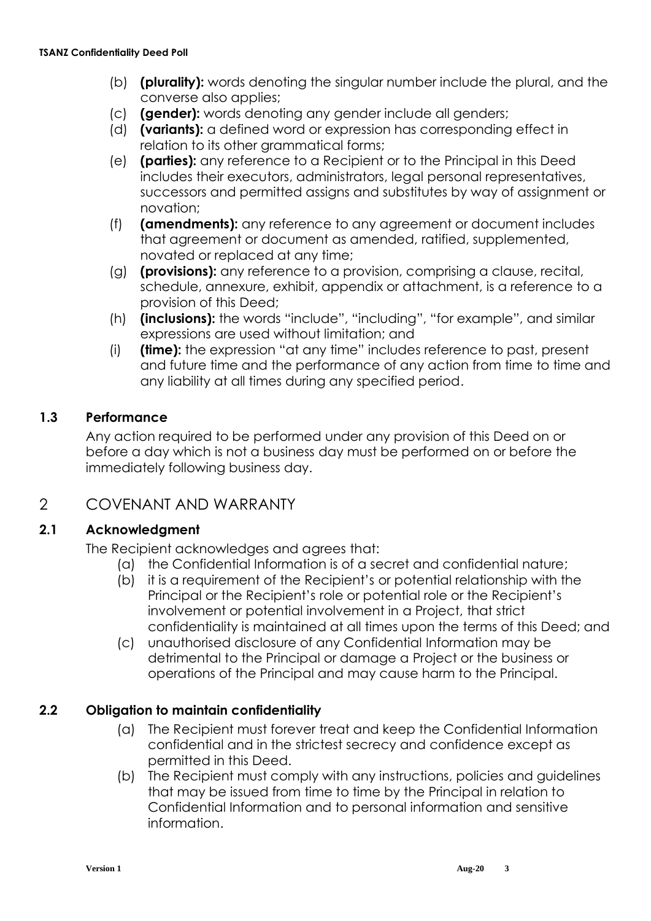- (b) **(plurality):** words denoting the singular number include the plural, and the converse also applies;
- (c) **(gender):** words denoting any gender include all genders;
- (d) **(variants):** a defined word or expression has corresponding effect in relation to its other grammatical forms;
- (e) **(parties):** any reference to a Recipient or to the Principal in this Deed includes their executors, administrators, legal personal representatives, successors and permitted assigns and substitutes by way of assignment or novation;
- (f) **(amendments):** any reference to any agreement or document includes that agreement or document as amended, ratified, supplemented, novated or replaced at any time;
- (g) **(provisions):** any reference to a provision, comprising a clause, recital, schedule, annexure, exhibit, appendix or attachment, is a reference to a provision of this Deed;
- (h) **(inclusions):** the words "include", "including", "for example", and similar expressions are used without limitation; and
- (i) **(time):** the expression "at any time" includes reference to past, present and future time and the performance of any action from time to time and any liability at all times during any specified period.

## **1.3 Performance**

Any action required to be performed under any provision of this Deed on or before a day which is not a business day must be performed on or before the immediately following business day.

## 2 COVENANT AND WARRANTY

### **2.1 Acknowledgment**

The Recipient acknowledges and agrees that:

- (a) the Confidential Information is of a secret and confidential nature;
- (b) it is a requirement of the Recipient's or potential relationship with the Principal or the Recipient's role or potential role or the Recipient's involvement or potential involvement in a Project, that strict confidentiality is maintained at all times upon the terms of this Deed; and
- (c) unauthorised disclosure of any Confidential Information may be detrimental to the Principal or damage a Project or the business or operations of the Principal and may cause harm to the Principal.

### **2.2 Obligation to maintain confidentiality**

- (a) The Recipient must forever treat and keep the Confidential Information confidential and in the strictest secrecy and confidence except as permitted in this Deed.
- (b) The Recipient must comply with any instructions, policies and guidelines that may be issued from time to time by the Principal in relation to Confidential Information and to personal information and sensitive information.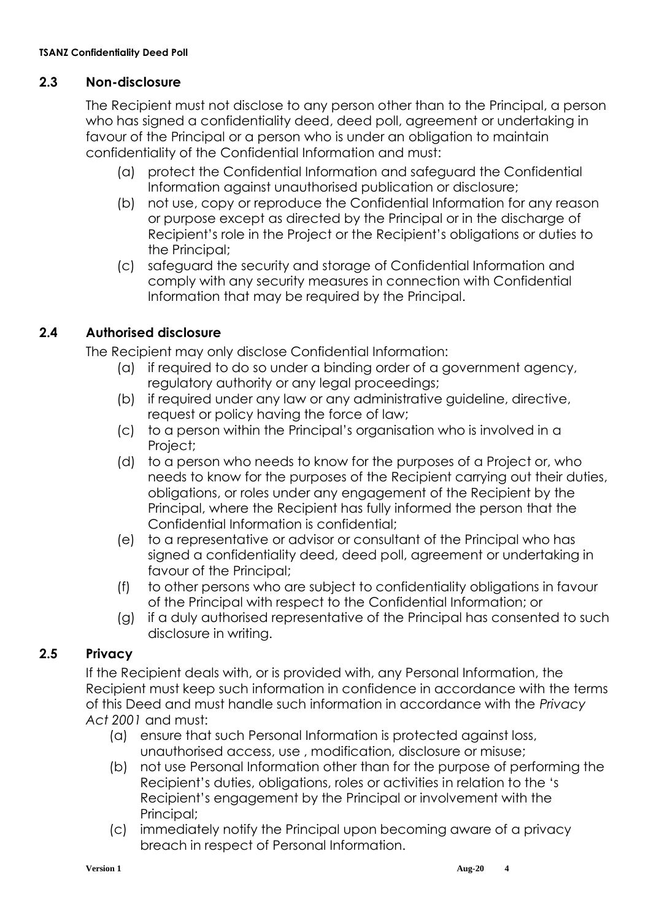### **2.3 Non-disclosure**

The Recipient must not disclose to any person other than to the Principal, a person who has signed a confidentiality deed, deed poll, agreement or undertaking in favour of the Principal or a person who is under an obligation to maintain confidentiality of the Confidential Information and must:

- (a) protect the Confidential Information and safeguard the Confidential Information against unauthorised publication or disclosure;
- (b) not use, copy or reproduce the Confidential Information for any reason or purpose except as directed by the Principal or in the discharge of Recipient's role in the Project or the Recipient's obligations or duties to the Principal;
- (c) safeguard the security and storage of Confidential Information and comply with any security measures in connection with Confidential Information that may be required by the Principal.

## **2.4 Authorised disclosure**

The Recipient may only disclose Confidential Information:

- (a) if required to do so under a binding order of a government agency, regulatory authority or any legal proceedings;
- (b) if required under any law or any administrative guideline, directive, request or policy having the force of law;
- (c) to a person within the Principal's organisation who is involved in a Project;
- (d) to a person who needs to know for the purposes of a Project or, who needs to know for the purposes of the Recipient carrying out their duties, obligations, or roles under any engagement of the Recipient by the Principal, where the Recipient has fully informed the person that the Confidential Information is confidential;
- (e) to a representative or advisor or consultant of the Principal who has signed a confidentiality deed, deed poll, agreement or undertaking in favour of the Principal;
- (f) to other persons who are subject to confidentiality obligations in favour of the Principal with respect to the Confidential Information; or
- (g) if a duly authorised representative of the Principal has consented to such disclosure in writing.

## **2.5 Privacy**

If the Recipient deals with, or is provided with, any Personal Information, the Recipient must keep such information in confidence in accordance with the terms of this Deed and must handle such information in accordance with the *Privacy Act 2001* and must:

- (a) ensure that such Personal Information is protected against loss, unauthorised access, use , modification, disclosure or misuse;
- (b) not use Personal Information other than for the purpose of performing the Recipient's duties, obligations, roles or activities in relation to the 's Recipient's engagement by the Principal or involvement with the Principal;
- (c) immediately notify the Principal upon becoming aware of a privacy breach in respect of Personal Information.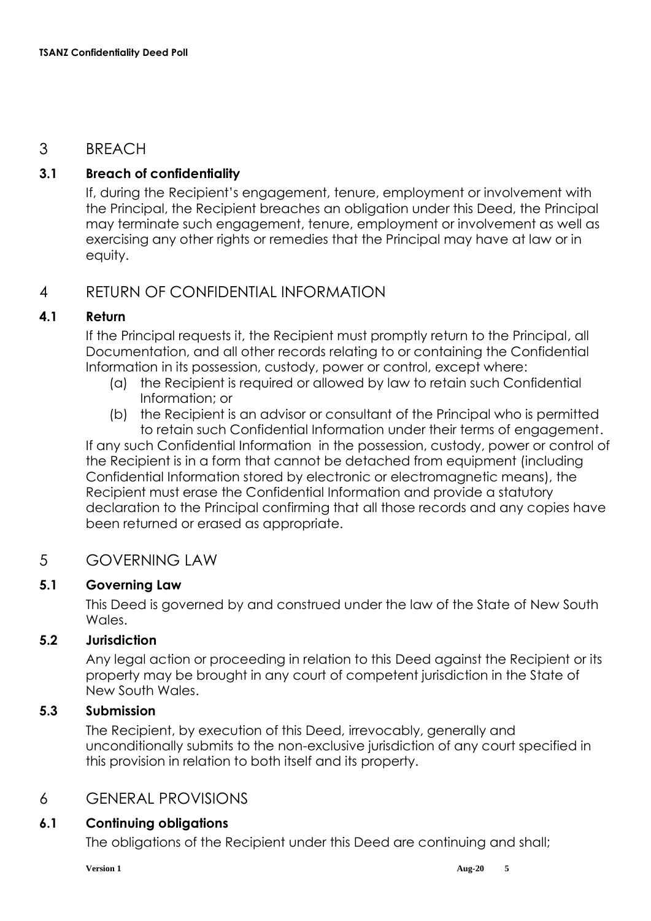## 3 BREACH

## **3.1 Breach of confidentiality**

If, during the Recipient's engagement, tenure, employment or involvement with the Principal, the Recipient breaches an obligation under this Deed, the Principal may terminate such engagement, tenure, employment or involvement as well as exercising any other rights or remedies that the Principal may have at law or in equity.

## 4 RETURN OF CONFIDENTIAL INFORMATION

### **4.1 Return**

If the Principal requests it, the Recipient must promptly return to the Principal, all Documentation, and all other records relating to or containing the Confidential Information in its possession, custody, power or control, except where:

- (a) the Recipient is required or allowed by law to retain such Confidential Information; or
- (b) the Recipient is an advisor or consultant of the Principal who is permitted to retain such Confidential Information under their terms of engagement.

If any such Confidential Information in the possession, custody, power or control of the Recipient is in a form that cannot be detached from equipment (including Confidential Information stored by electronic or electromagnetic means), the Recipient must erase the Confidential Information and provide a statutory declaration to the Principal confirming that all those records and any copies have been returned or erased as appropriate.

## 5 GOVERNING LAW

## **5.1 Governing Law**

This Deed is governed by and construed under the law of the State of New South Wales.

### **5.2 Jurisdiction**

Any legal action or proceeding in relation to this Deed against the Recipient or its property may be brought in any court of competent jurisdiction in the State of New South Wales.

### **5.3 Submission**

The Recipient, by execution of this Deed, irrevocably, generally and unconditionally submits to the non-exclusive jurisdiction of any court specified in this provision in relation to both itself and its property.

## 6 GENERAL PROVISIONS

### **6.1 Continuing obligations**

The obligations of the Recipient under this Deed are continuing and shall;